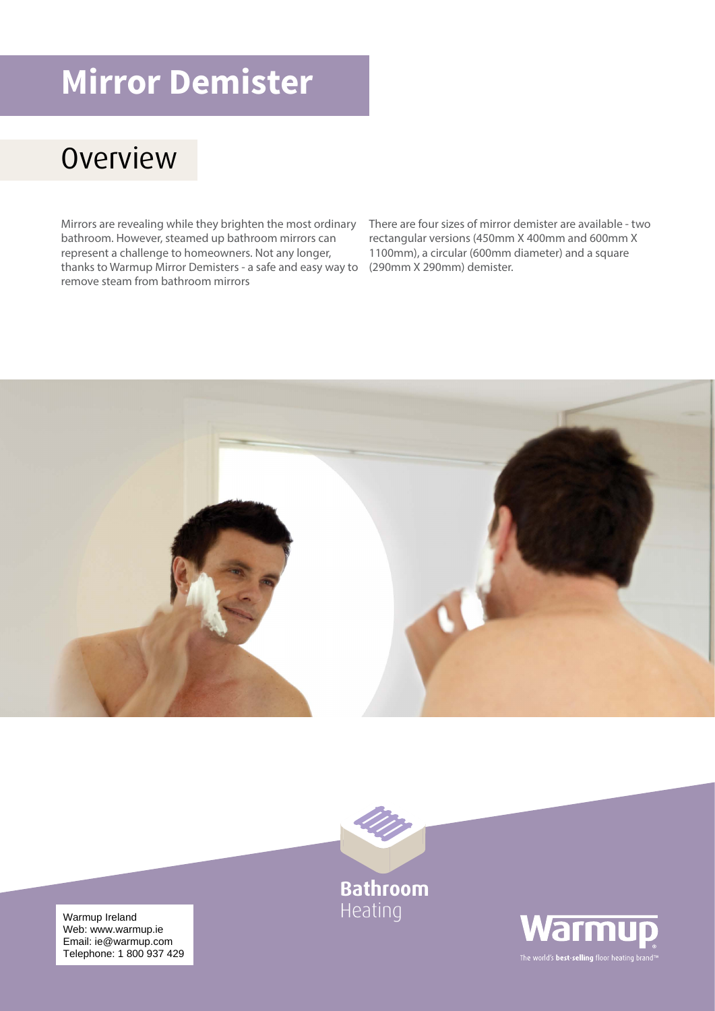## **Mirror Demister**

## **Overview**

Mirrors are revealing while they brighten the most ordinary bathroom. However, steamed up bathroom mirrors can represent a challenge to homeowners. Not any longer, thanks to Warmup Mirror Demisters - a safe and easy way to (290mm X 290mm) demister. remove steam from bathroom mirrors

There are four sizes of mirror demister are available - two rectangular versions (450mm X 400mm and 600mm X 1100mm), a circular (600mm diameter) and a square





**Bathroom** Heating

Warmup Ireland<br>Wabuunuu warmup is Email: ie@warmup.com Telephone: 1 800 937 429 Web: www.warmup.ie